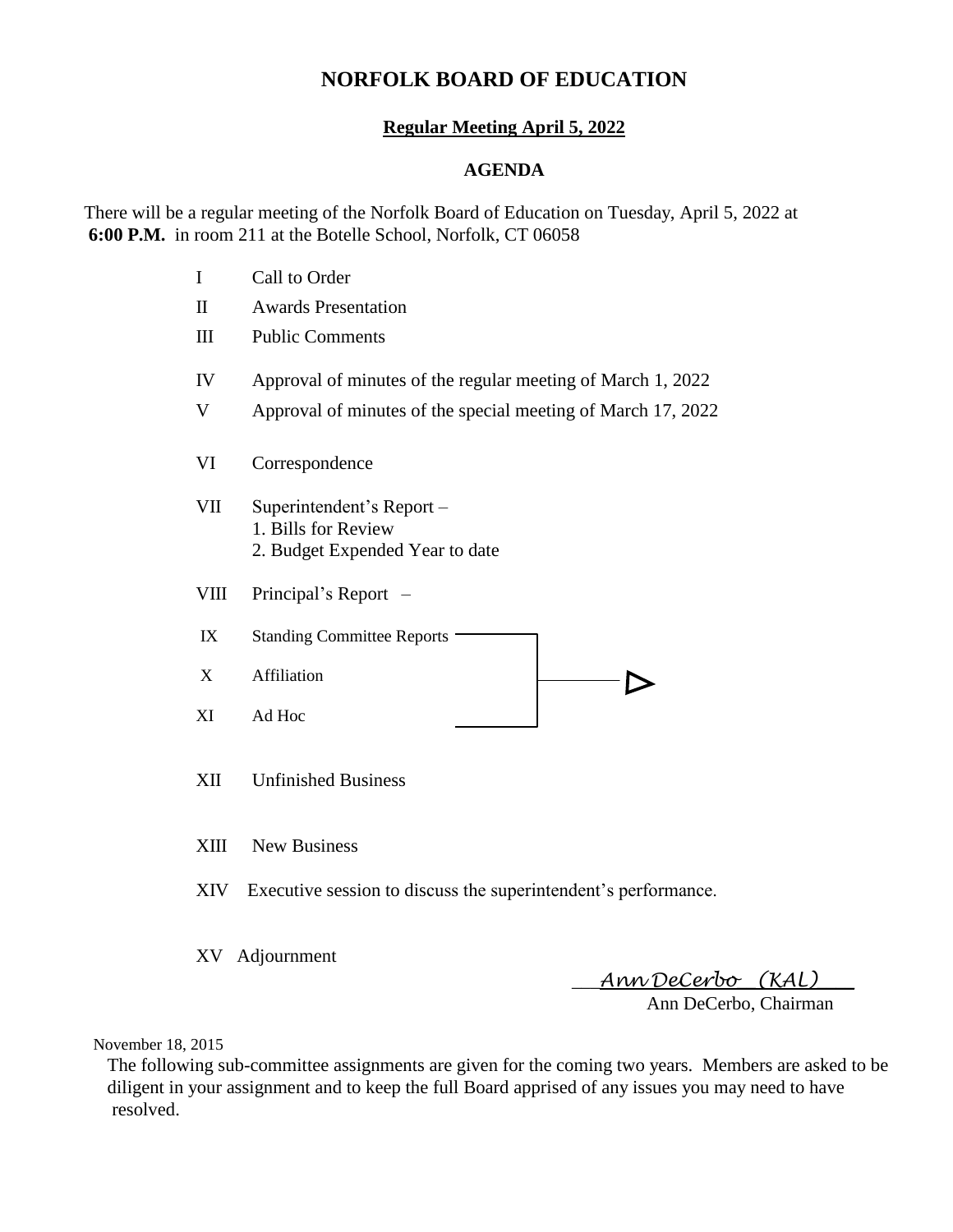# **NORFOLK BOARD OF EDUCATION**

# **Regular Meeting April 5, 2022**

#### **AGENDA**

There will be a regular meeting of the Norfolk Board of Education on Tuesday, April 5, 2022 at **6:00 P.M.** in room 211 at the Botelle School, Norfolk, CT 06058

| I            | Call to Order                                                                       |
|--------------|-------------------------------------------------------------------------------------|
| $\mathbf I$  | <b>Awards Presentation</b>                                                          |
| $\mathbf{I}$ | <b>Public Comments</b>                                                              |
| IV           | Approval of minutes of the regular meeting of March 1, 2022                         |
| V            | Approval of minutes of the special meeting of March 17, 2022                        |
| VI           | Correspondence                                                                      |
| VII          | Superintendent's Report -<br>1. Bills for Review<br>2. Budget Expended Year to date |
| <b>VIII</b>  | Principal's Report                                                                  |
| IX           | <b>Standing Committee Reports</b>                                                   |
| X            | Affiliation                                                                         |
| XI           | Ad Hoc                                                                              |
| XII          | <b>Unfinished Business</b>                                                          |
| XIII         | <b>New Business</b>                                                                 |

- XIV Executive session to discuss the superintendent's performance.
- XV Adjournment

\_\_\_*Ann DeCerbo*\_\_*(KAL)*\_\_\_\_

Ann DeCerbo, Chairman

November 18, 2015

 The following sub-committee assignments are given for the coming two years. Members are asked to be diligent in your assignment and to keep the full Board apprised of any issues you may need to have resolved.